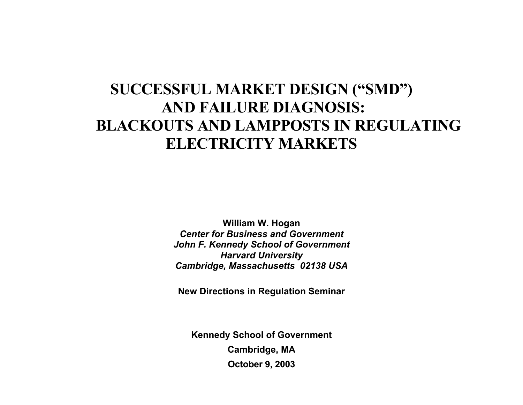# **SUCCESSFUL MARKET DESIGN ("SMD") AND FAILURE DIAGNOSIS: BLACKOUTS AND LAMPPOSTS IN REGULATING ELECTRICITY MARKETS**

**William W. Hogan**  *Center for Business and Government John F. Kennedy School of Government Harvard University Cambridge, Massachusetts 02138 USA*

**New Directions in Regulation Seminar** 

**Kennedy School of Government Cambridge, MA October 9, 2003**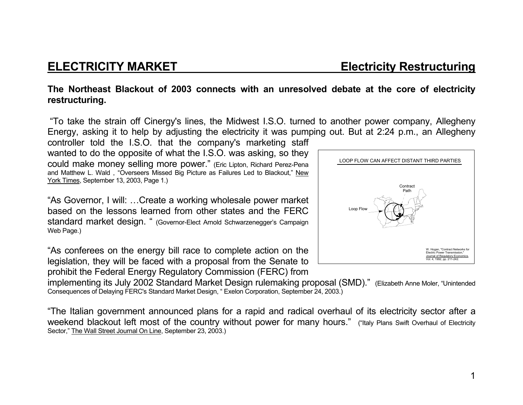**ELECTRICITY MARKET Electricity Restructuring** 

### **The Northeast Blackout of 2003 connects with an unresolved debate at the core of electricity restructuring.**

 "To take the strain off Cinergy's lines, the Midwest I.S.O. turned to another power company, Allegheny Energy, asking it to help by adjusting the electricity it was pumping out. But at 2:24 p.m., an Allegheny

controller told the I.S.O. that the company's marketing staff wanted to do the opposite of what the I.S.O. was asking, so they could make money selling more power." (Eric Lipton, Richard Perez-Pena and Matthew L. Wald , "Overseers Missed Big Picture as Failures Led to Blackout," New York Times, September 13, 2003, Page 1.)

"As Governor, I will: …Create a working wholesale power market based on the lessons learned from other states and the FERC standard market design. " (Governor-Elect Arnold Schwarzenegger's Campaign Web Page.)

"As conferees on the energy bill race to complete action on the legislation, they will be faced with a proposal from the Senate to

prohibit the Federal Energy Regulatory Commission (FERC) from



implementing its July 2002 Standard Market Design rulemaking proposal (SMD)." (Elizabeth Anne Moler, "Unintended Consequences of Delaying FERC's Standard Market Design, " Exelon Corporation, September 24, 2003.)

"The Italian government announced plans for a rapid and radical overhaul of its electricity sector after a weekend blackout left most of the country without power for many hours." ("Italy Plans Swift Overhaul of Electricity Sector," The Wall Street Journal On Line, September 23, 2003.)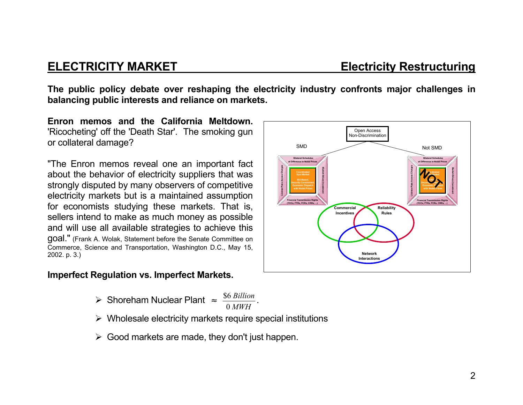**The public policy debate over reshaping the electricity industry confronts major challenges in balancing public interests and reliance on markets.** 

**Enron memos and the California Meltdown.**'Ricocheting' off the 'Death Star'. The smoking gun or collateral damage?

"The Enron memos reveal one an important fact about the behavior of electricity suppliers that was strongly disputed by many observers of competitive electricity markets but is a maintained assumption for economists studying these markets. That is, sellers intend to make as much money as possible and will use all available strategies to achieve this goal." (Frank A. Wolak, Statement before the Senate Committee on Commerce, Science and Transportation, Washington D.C., May 15, 2002. p. 3.)

# **Imperfect Regulation vs. Imperfect Markets.**



- $\triangleright$  Wholesale electricity markets require special institutions
- $\triangleright$  Good markets are made, they don't just happen.

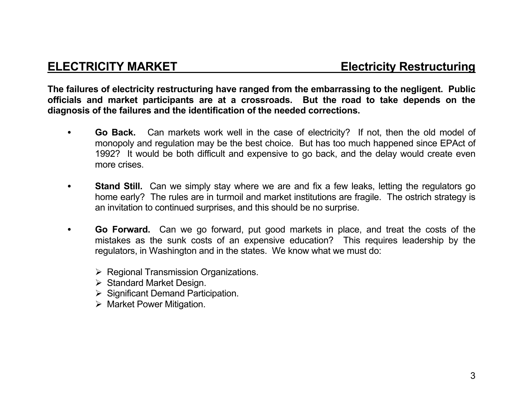**The failures of electricity restructuring have ranged from the embarrassing to the negligent. Public officials and market participants are at a crossroads. But the road to take depends on the diagnosis of the failures and the identification of the needed corrections.** 

- **Go Back.** Can markets work well in the case of electricity? If not, then the old model of monopoly and regulation may be the best choice. But has too much happened since EPAct of 1992? It would be both difficult and expensive to go back, and the delay would create even more crises.
- **Stand Still.** Can we simply stay where we are and fix a few leaks, letting the regulators go home early? The rules are in turmoil and market institutions are fragile. The ostrich strategy is an invitation to continued surprises, and this should be no surprise.
- • **Go Forward.** Can we go forward, put good markets in place, and treat the costs of the mistakes as the sunk costs of an expensive education? This requires leadership by the regulators, in Washington and in the states. We know what we must do:
	- $\triangleright$  Regional Transmission Organizations.
	- $\triangleright$  Standard Market Design.
	- $\triangleright$  Significant Demand Participation.
	- $\triangleright$  Market Power Mitigation.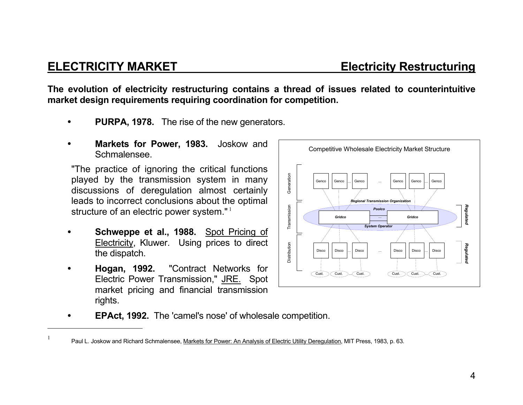### 4

**The evolution of electricity restructuring contains a thread of issues related to counterintuitive market design requirements requiring coordination for competition.** 

- • **PURPA, 1978.** The rise of the new generators.
- • **Markets for Power, 1983.** Joskow and Schmalensee.

"The practice of ignoring the critical functions played by the transmission system in many discussions of deregulation almost certainly leads to incorrect conclusions about the optimal structure of an electric power system."<sup>1</sup>

- • **Schweppe et al., 1988.** Spot Pricing of Electricity, Kluwer. Using prices to direct the dispatch.
- • **Hogan, 1992.** "Contract Networks for Electric Power Transmission," JRE. Spot market pricing and financial transmission rights.



**EPAct, 1992.** The 'camel's nose' of wholesale competition.

## **ELECTRICITY MARKET Electricity Restructuring**

<sup>&</sup>lt;sup>1</sup> Paul L. Joskow and Richard Schmalensee, Markets for Power: An Analysis of Electric Utility Deregulation, MIT Press, 1983, p. 63.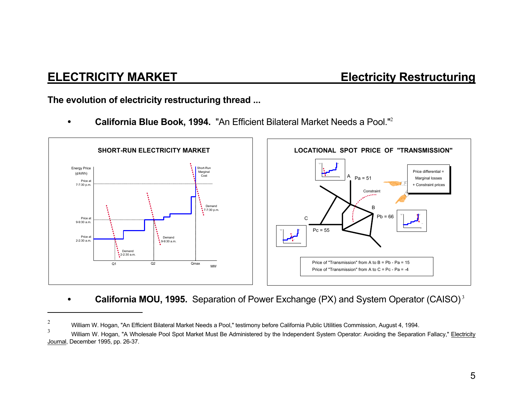# **ELECTRICITY MARKET Electricity Restructuring**

**The evolution of electricity restructuring thread ...** 

• **California Blue Book, 1994.** "An Efficient Bilateral Market Needs a Pool."<sup>2</sup>



• **California MOU, 1995.** Separation of Power Exchange (PX) and System Operator (CAISO)<sup>3</sup>

<sup>&</sup>lt;sup>2</sup> William W. Hogan, "An Efficient Bilateral Market Needs a Pool," testimony before California Public Utilities Commission, August 4, 1994.

<sup>3</sup> William W. Hogan, "A Wholesale Pool Spot Market Must Be Administered by the Independent System Operator: Avoiding the Separation Fallacy," Electricity Journal, December 1995, pp. 26-37.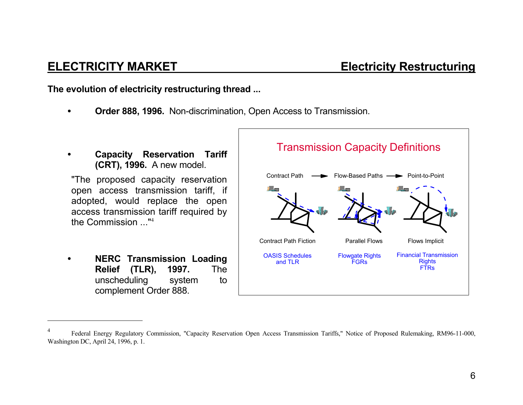**ELECTRICITY MARKET Electricity Restructuring** 

**The evolution of electricity restructuring thread ...** 

- • **Order 888, 1996.** Non-discrimination, Open Access to Transmission.
- • **Capacity Reservation Tariff (CRT), 1996.** A new model.

"The proposed capacity reservation open access transmission tariff, if adopted, would replace the open access transmission tariff required by the Commission ..."<sup>4</sup>

• **NERC Transmission Loading Relief (TLR), 1997.** The unscheduling system to complement Order 888.



<sup>4</sup> Federal Energy Regulatory Commission, "Capacity Reservation Open Access Transmission Tariffs," Notice of Proposed Rulemaking, RM96-11-000, Washington DC, April 24, 1996, p. 1.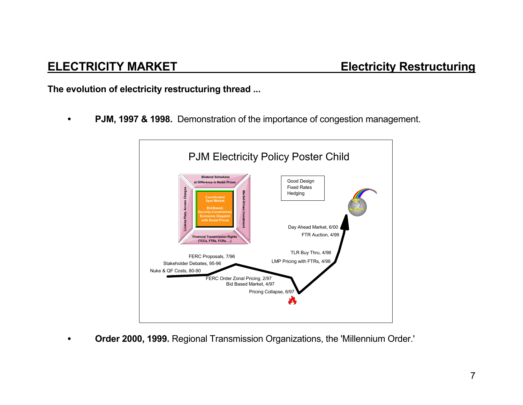**The evolution of electricity restructuring thread ...** 

• **PJM, 1997 & 1998.** Demonstration of the importance of congestion management.



• **Order 2000, 1999.** Regional Transmission Organizations, the 'Millennium Order.'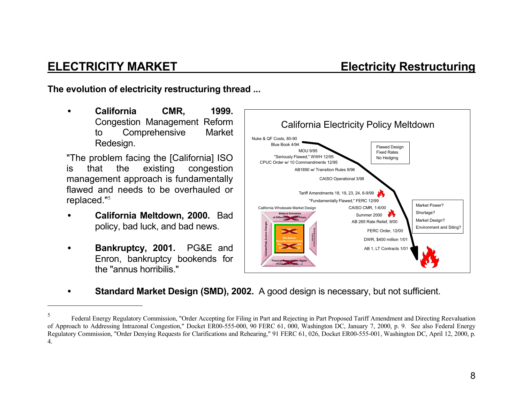**The evolution of electricity restructuring thread ...** 

• **California CMR, 1999.** Congestion Management Reform to Comprehensive Market Redesign.

"The problem facing the [California] ISO is that the existing congestion management approach is fundamentally flawed and needs to be overhauled or replaced."<sup>5</sup>

- • **California Meltdown, 2000.** Bad policy, bad luck, and bad news.
- • **Bankruptcy, 2001.** PG&E and Enron, bankruptcy bookends for the "annus horribilis."



• **Standard Market Design (SMD), 2002.** A good design is necessary, but not sufficient.

<sup>5</sup> Federal Energy Regulatory Commission, "Order Accepting for Filing in Part and Rejecting in Part Proposed Tariff Amendment and Directing Reevaluation of Approach to Addressing Intrazonal Congestion," Docket ER00-555-000, 90 FERC 61, 000, Washington DC, January 7, 2000, p. 9. See also Federal Energy Regulatory Commission, "Order Denying Requests for Clarifications and Rehearing," 91 FERC 61, 026, Docket ER00-555-001, Washington DC, April 12, 2000, p. 4.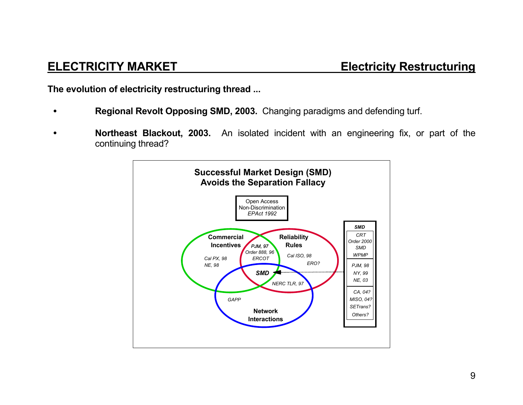**The evolution of electricity restructuring thread ...** 

- • **Regional Revolt Opposing SMD, 2003.** Changing paradigms and defending turf.
- • **Northeast Blackout, 2003.** An isolated incident with an engineering fix, or part of the continuing thread?

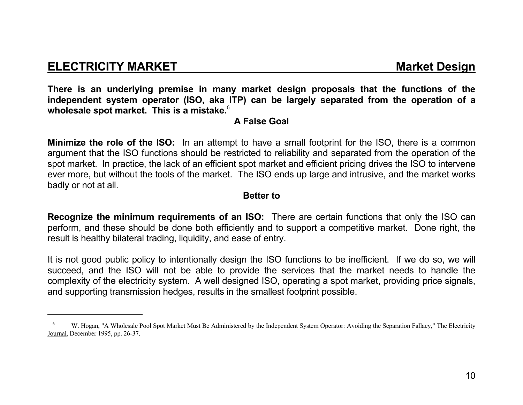## **ELECTRICITY MARKET MARKET MARKET RESIGN MARKET**

**There is an underlying premise in many market design proposals that the functions of the independent system operator (ISO, aka ITP) can be largely separated from the operation of a wholesale spot market. This is a mistake.**<sup>6</sup>

### **A False Goal**

**Minimize the role of the ISO:** In an attempt to have a small footprint for the ISO, there is a common argument that the ISO functions should be restricted to reliability and separated from the operation of the spot market. In practice, the lack of an efficient spot market and efficient pricing drives the ISO to intervene ever more, but without the tools of the market. The ISO ends up large and intrusive, and the market works badly or not at all.

### **Better to**

**Recognize the minimum requirements of an ISO:** There are certain functions that only the ISO can perform, and these should be done both efficiently and to support a competitive market. Done right, the result is healthy bilateral trading, liquidity, and ease of entry.

It is not good public policy to intentionally design the ISO functions to be inefficient. If we do so, we will succeed, and the ISO will not be able to provide the services that the market needs to handle the complexity of the electricity system. A well designed ISO, operating a spot market, providing price signals, and supporting transmission hedges, results in the smallest footprint possible.

W. Hogan, "A Wholesale Pool Spot Market Must Be Administered by the Independent System Operator: Avoiding the Separation Fallacy," The Electricity Journal, December 1995, pp. 26-37.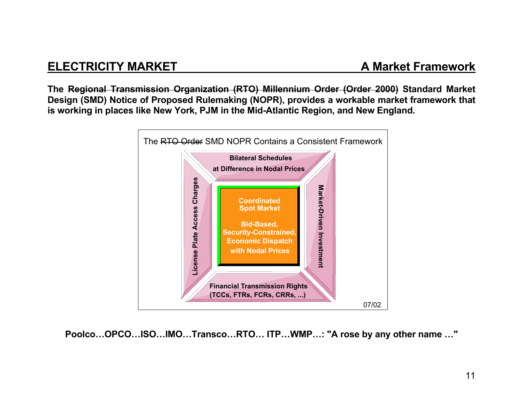# **ELECTRICITY MARKET**

**The Regional Transmission Organization (RTO) Millennium Order (Order 2000) Standard Market Design (SMD) Notice of Proposed Rulemaking (NOPR), provides a workable market framework that is working in places like New York, PJM in the Mid-Atlantic Region, and New England.** 



**Poolco…OPCO…ISO…IMO…Transco…RTO… ITP…WMP…: "A rose by any other name …"**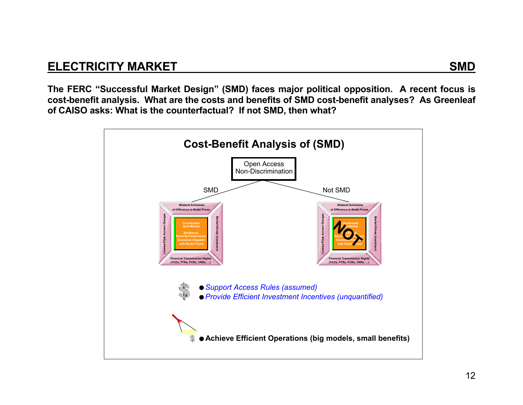**The FERC "Successful Market Design" (SMD) faces major political opposition. A recent focus is cost-benefit analysis. What are the costs and benefits of SMD cost-benefit analyses? As Greenleaf of CAISO asks: What is the counterfactual? If not SMD, then what?**

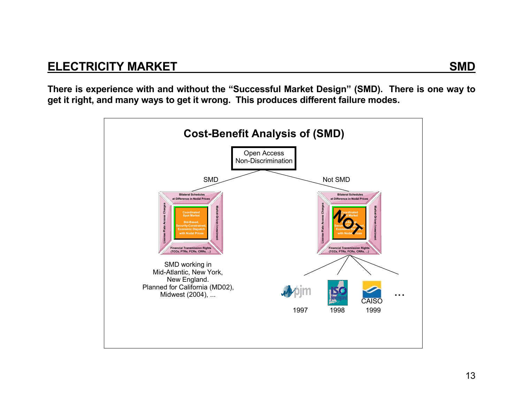**There is experience with and without the "Successful Market Design" (SMD). There is one way to get it right, and many ways to get it wrong. This produces different failure modes.**

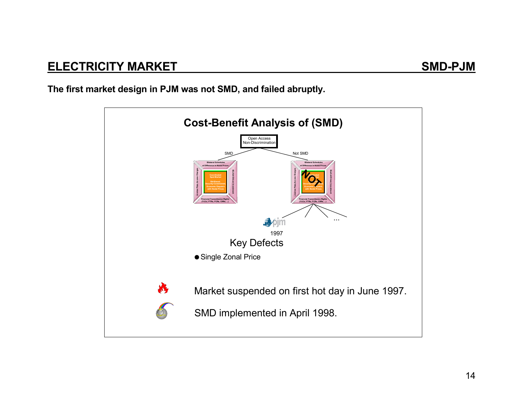**The first market design in PJM was not SMD, and failed abruptly.**

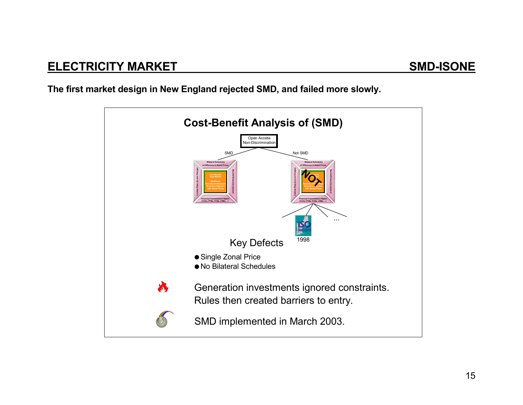**The first market design in New England rejected SMD, and failed more slowly.**

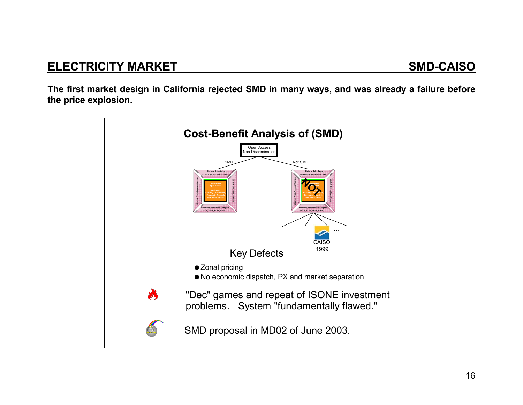**The first market design in California rejected SMD in many ways, and was already a failure before the price explosion.**

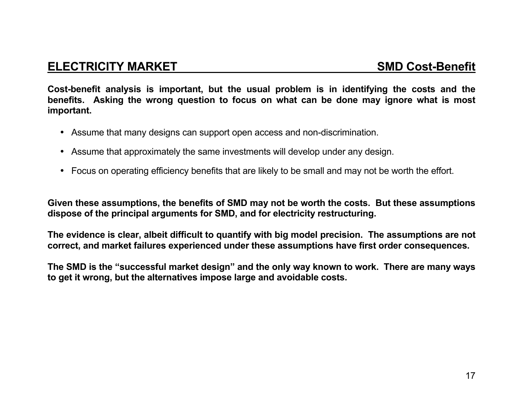# **ELECTRICITY MARKET SMD Cost-Benefit**

**Cost-benefit analysis is important, but the usual problem is in identifying the costs and the benefits. Asking the wrong question to focus on what can be done may ignore what is most important.** 

- Assume that many designs can support open access and non-discrimination.
- Assume that approximately the same investments will develop under any design.
- Focus on operating efficiency benefits that are likely to be small and may not be worth the effort.

**Given these assumptions, the benefits of SMD may not be worth the costs. But these assumptions dispose of the principal arguments for SMD, and for electricity restructuring.** 

**The evidence is clear, albeit difficult to quantify with big model precision. The assumptions are not correct, and market failures experienced under these assumptions have first order consequences.** 

**The SMD is the "successful market design" and the only way known to work. There are many ways to get it wrong, but the alternatives impose large and avoidable costs.**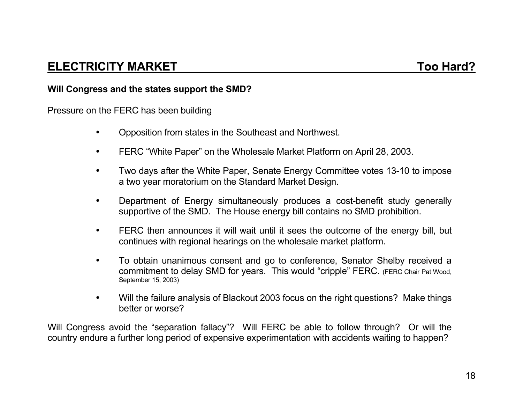### **Will Congress and the states support the SMD?**

Pressure on the FERC has been building

- Opposition from states in the Southeast and Northwest.
- FERC "White Paper" on the Wholesale Market Platform on April 28, 2003.
- Two days after the White Paper, Senate Energy Committee votes 13-10 to impose a two year moratorium on the Standard Market Design.
- Department of Energy simultaneously produces a cost-benefit study generally supportive of the SMD. The House energy bill contains no SMD prohibition.
- FERC then announces it will wait until it sees the outcome of the energy bill, but continues with regional hearings on the wholesale market platform.
- To obtain unanimous consent and go to conference, Senator Shelby received a commitment to delay SMD for years. This would "cripple" FERC. (FERC Chair Pat Wood, September 15, 2003)
- Will the failure analysis of Blackout 2003 focus on the right questions? Make things better or worse?

Will Congress avoid the "separation fallacy"? Will FERC be able to follow through? Or will the country endure a further long period of expensive experimentation with accidents waiting to happen?